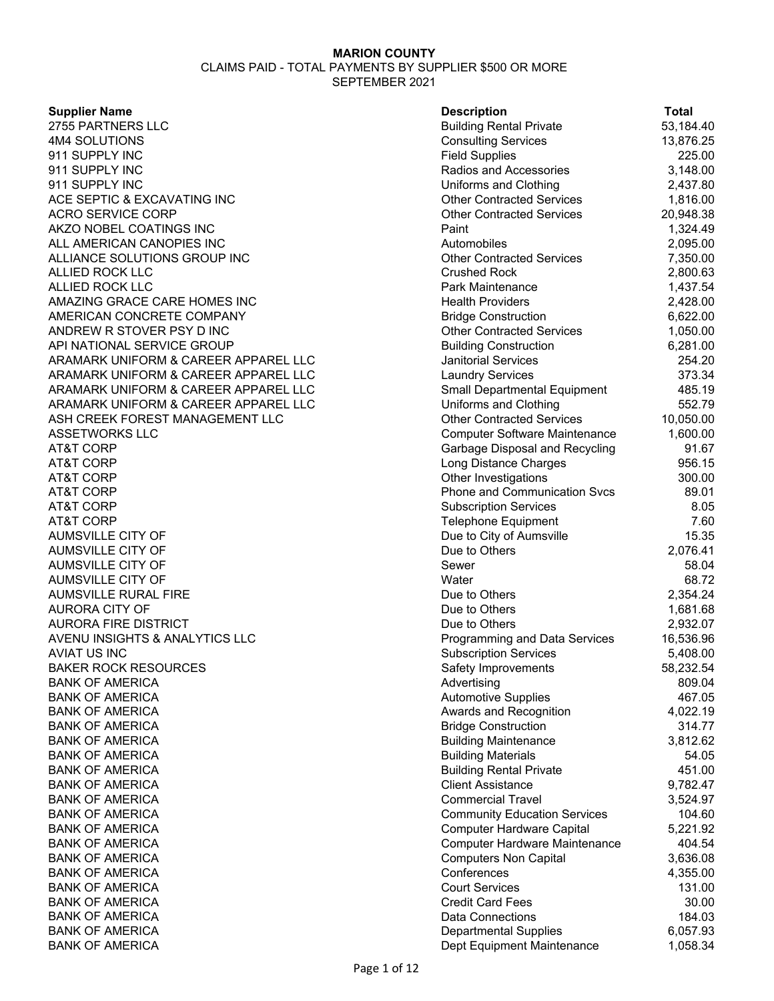CLAIMS PAID - TOTAL PAYMENTS BY SUPPLIER \$500 OR MORE SEPTEMBER 2021

#### **Supplier Name**

| <b>Supplier Name</b>                 | <b>Description</b>                   | <b>Total</b>       |
|--------------------------------------|--------------------------------------|--------------------|
| 2755 PARTNERS LLC                    | <b>Building Rental Private</b>       | 53,184.40          |
| 4M4 SOLUTIONS                        | <b>Consulting Services</b>           | 13,876.25          |
| 911 SUPPLY INC                       | <b>Field Supplies</b>                | 225.00             |
| 911 SUPPLY INC                       | Radios and Accessories               | 3,148.00           |
| 911 SUPPLY INC                       | Uniforms and Clothing                | 2,437.80           |
| ACE SEPTIC & EXCAVATING INC          | <b>Other Contracted Services</b>     | 1,816.00           |
| ACRO SERVICE CORP                    | <b>Other Contracted Services</b>     | 20,948.38          |
| AKZO NOBEL COATINGS INC              | Paint                                | 1,324.49           |
| ALL AMERICAN CANOPIES INC            | Automobiles                          | 2,095.00           |
| ALLIANCE SOLUTIONS GROUP INC         | <b>Other Contracted Services</b>     | 7,350.00           |
| ALLIED ROCK LLC                      | <b>Crushed Rock</b>                  | 2,800.63           |
| ALLIED ROCK LLC                      | Park Maintenance                     | 1,437.54           |
| AMAZING GRACE CARE HOMES INC         | <b>Health Providers</b>              | 2,428.00           |
| AMERICAN CONCRETE COMPANY            | <b>Bridge Construction</b>           | 6,622.00           |
| ANDREW R STOVER PSY D INC            | <b>Other Contracted Services</b>     | 1,050.00           |
| API NATIONAL SERVICE GROUP           | <b>Building Construction</b>         | 6,281.00           |
| ARAMARK UNIFORM & CAREER APPAREL LLC | <b>Janitorial Services</b>           | 254.20             |
| ARAMARK UNIFORM & CAREER APPAREL LLC | <b>Laundry Services</b>              | 373.34             |
| ARAMARK UNIFORM & CAREER APPAREL LLC | Small Departmental Equipment         | 485.19             |
| ARAMARK UNIFORM & CAREER APPAREL LLC | Uniforms and Clothing                | 552.79             |
| ASH CREEK FOREST MANAGEMENT LLC      | <b>Other Contracted Services</b>     | 10,050.00          |
| ASSETWORKS LLC                       | <b>Computer Software Maintenance</b> | 1,600.00           |
| AT&T CORP                            | Garbage Disposal and Recycling       | 91.67              |
| AT&T CORP                            | Long Distance Charges                | 956.15             |
| AT&T CORP                            | Other Investigations                 | 300.00             |
| AT&T CORP                            | Phone and Communication Svcs         | 89.01              |
| AT&T CORP                            | <b>Subscription Services</b>         | 8.05               |
| AT&T CORP                            | <b>Telephone Equipment</b>           | 7.60               |
| AUMSVILLE CITY OF                    | Due to City of Aumsville             | 15.35              |
| AUMSVILLE CITY OF                    | Due to Others                        | 2,076.41           |
| AUMSVILLE CITY OF                    | Sewer                                | 58.04              |
| AUMSVILLE CITY OF                    | Water                                | 68.72              |
| AUMSVILLE RURAL FIRE                 | Due to Others                        | 2,354.24           |
| AURORA CITY OF                       | Due to Others                        | 1,681.68           |
| AURORA FIRE DISTRICT                 | Due to Others                        | 2,932.07           |
| AVENU INSIGHTS & ANALYTICS LLC       | Programming and Data Services        | 16,536.96          |
| AVIAT US INC                         | <b>Subscription Services</b>         | 5,408.00           |
| <b>BAKER ROCK RESOURCES</b>          | Safety Improvements                  | 58,232.54          |
| <b>BANK OF AMERICA</b>               | Advertising                          | 809.04             |
| <b>BANK OF AMERICA</b>               | <b>Automotive Supplies</b>           | 467.05             |
| BANK OF AMERICA                      | Awards and Recognition               | 4,022.19           |
| <b>BANK OF AMERICA</b>               | <b>Bridge Construction</b>           | 314.77             |
| <b>BANK OF AMERICA</b>               | <b>Building Maintenance</b>          | 3,812.62           |
| BANK OF AMERICA                      | <b>Building Materials</b>            | 54.05              |
| BANK OF AMERICA                      | <b>Building Rental Private</b>       | 451.00             |
| <b>BANK OF AMERICA</b>               | <b>Client Assistance</b>             | 9,782.47           |
| BANK OF AMERICA                      | <b>Commercial Travel</b>             |                    |
| BANK OF AMERICA                      | <b>Community Education Services</b>  | 3,524.97<br>104.60 |
|                                      |                                      |                    |
| BANK OF AMERICA                      | <b>Computer Hardware Capital</b>     | 5,221.92           |
| BANK OF AMERICA                      | <b>Computer Hardware Maintenance</b> | 404.54             |
| BANK OF AMERICA                      | <b>Computers Non Capital</b>         | 3,636.08           |
| BANK OF AMERICA                      | Conferences                          | 4,355.00           |
| <b>BANK OF AMERICA</b>               | <b>Court Services</b>                | 131.00             |
| BANK OF AMERICA                      | <b>Credit Card Fees</b>              | 30.00              |
| BANK OF AMERICA                      | <b>Data Connections</b>              | 184.03             |
| <b>BANK OF AMERICA</b>               | <b>Departmental Supplies</b>         | 6,057.93           |
| <b>BANK OF AMERICA</b>               | Dept Equipment Maintenance           | 1,058.34           |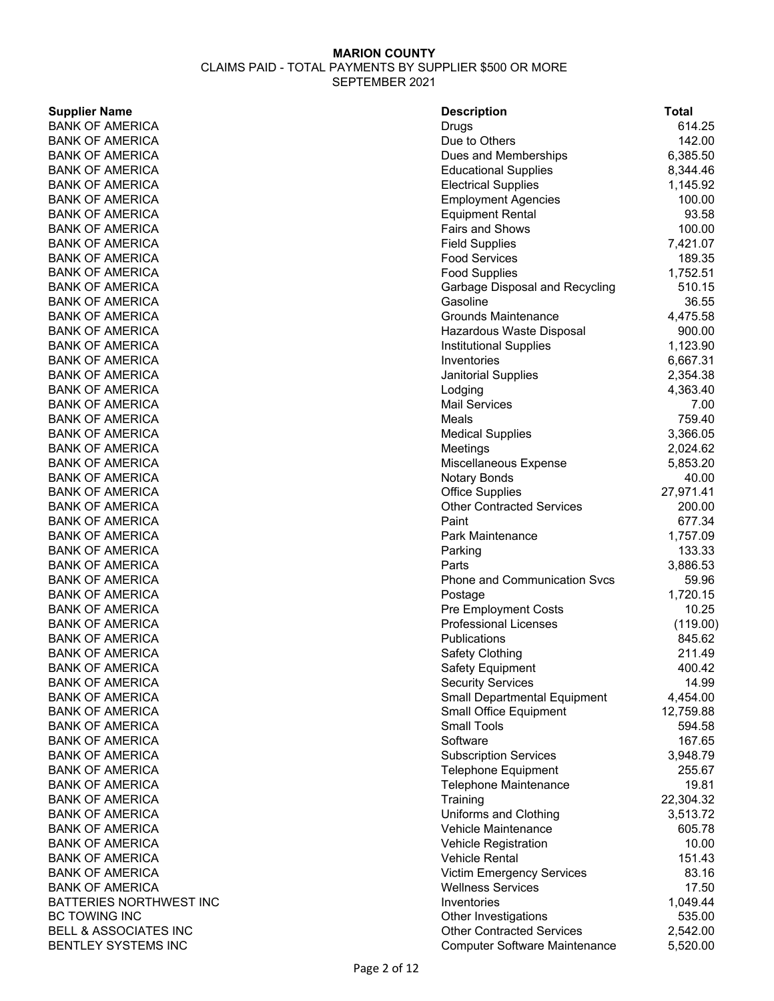#### **Supplier Name**

BANK OF AMERICA **BANK OF AMERICA** BANK OF AMERICA **BANK OF AMERICA** BANK OF AMERICA **BANK OF AMERICA BANK OF AMERICA BANK OF AMERICA BANK OF AMERICA BANK OF AMERICA BANK OF AMERICA** BANK OF AMERICA **BANK OF AMERICA BANK OF AMERICA BANK OF AMERICA BANK OF AMERICA BANK OF AMERICA** BANK OF AMERICA BANK OF AMERICA BANK OF AMERICA **BANK OF AMERICA BANK OF AMERICA BANK OF AMERICA BANK OF AMERICA BANK OF AMERICA BANK OF AMERICA BANK OF AMERICA** BANK OF AMERICA BANK OF AMERICA **BANK OF AMERICA BANK OF AMERICA BANK OF AMERICA** BANK OF AMERICA **BANK OF AMERICA BANK OF AMERICA BANK OF AMERICA BANK OF AMERICA BANK OF AMERICA** BANK OF AMERICA BANK OF AMERICA BANK OF AMERICA **BANK OF AMERICA BANK OF AMERICA** BANK OF AMERICA **BANK OF AMERICA BANK OF AMERICA BANK OF AMERICA BANK OF AMERICA BANK OF AMERICA BANK OF AMERICA BANK OF AMERICA BANK OF AMERICA BANK OF AMERICA** BATTERIES NORTHWEST INC BC TOWING INC BELL & ASSOCIATES INC BENTLEY SYSTEMS INC

| <b>Description</b>                   | Total     |
|--------------------------------------|-----------|
| Drugs                                | 614.25    |
| Due to Others                        | 142.00    |
| Dues and Memberships                 | 6,385.50  |
| <b>Educational Supplies</b>          | 8,344.46  |
| <b>Electrical Supplies</b>           | 1,145.92  |
| <b>Employment Agencies</b>           | 100.00    |
| <b>Equipment Rental</b>              | 93.58     |
| Fairs and Shows                      | 100.00    |
| <b>Field Supplies</b>                | 7,421.07  |
| <b>Food Services</b>                 | 189.35    |
| <b>Food Supplies</b>                 | 1,752.51  |
| Garbage Disposal and Recycling       | 510.15    |
| Gasoline                             | 36.55     |
| Grounds Maintenance                  | 4,475.58  |
| Hazardous Waste Disposal             | 900.00    |
| <b>Institutional Supplies</b>        | 1,123.90  |
| Inventories                          | 6,667.31  |
| Janitorial Supplies                  | 2,354.38  |
| Lodging                              | 4,363.40  |
| <b>Mail Services</b>                 | 7.00      |
| Meals                                | 759.40    |
| <b>Medical Supplies</b>              | 3,366.05  |
| Meetings                             | 2,024.62  |
| Miscellaneous Expense                | 5,853.20  |
| Notary Bonds                         | 40.00     |
| <b>Office Supplies</b>               | 27,971.41 |
| <b>Other Contracted Services</b>     | 200.00    |
| Paint                                | 677.34    |
| Park Maintenance                     | 1,757.09  |
| Parking                              | 133.33    |
| Parts                                | 3,886.53  |
| <b>Phone and Communication Svcs</b>  | 59.96     |
| Postage                              | 1,720.15  |
| <b>Pre Employment Costs</b>          | 10.25     |
| <b>Professional Licenses</b>         | (119.00)  |
| <b>Publications</b>                  | 845.62    |
| Safety Clothing                      | 211.49    |
| Safety Equipment                     | 400.42    |
| <b>Security Services</b>             | 14.99     |
| <b>Small Departmental Equipment</b>  | 4,454.00  |
| <b>Small Office Equipment</b>        | 12,759.88 |
| <b>Small Tools</b>                   | 594.58    |
| Software                             | 167.65    |
| <b>Subscription Services</b>         | 3,948.79  |
| <b>Telephone Equipment</b>           | 255.67    |
| <b>Telephone Maintenance</b>         | 19.81     |
| Training                             | 22,304.32 |
| Uniforms and Clothing                | 3,513.72  |
| Vehicle Maintenance                  | 605.78    |
| <b>Vehicle Registration</b>          | 10.00     |
| <b>Vehicle Rental</b>                | 151.43    |
| <b>Victim Emergency Services</b>     | 83.16     |
| <b>Wellness Services</b>             | 17.50     |
| Inventories                          | 1,049.44  |
| Other Investigations                 | 535.00    |
| <b>Other Contracted Services</b>     | 2,542.00  |
| <b>Computer Software Maintenance</b> | 5,520.00  |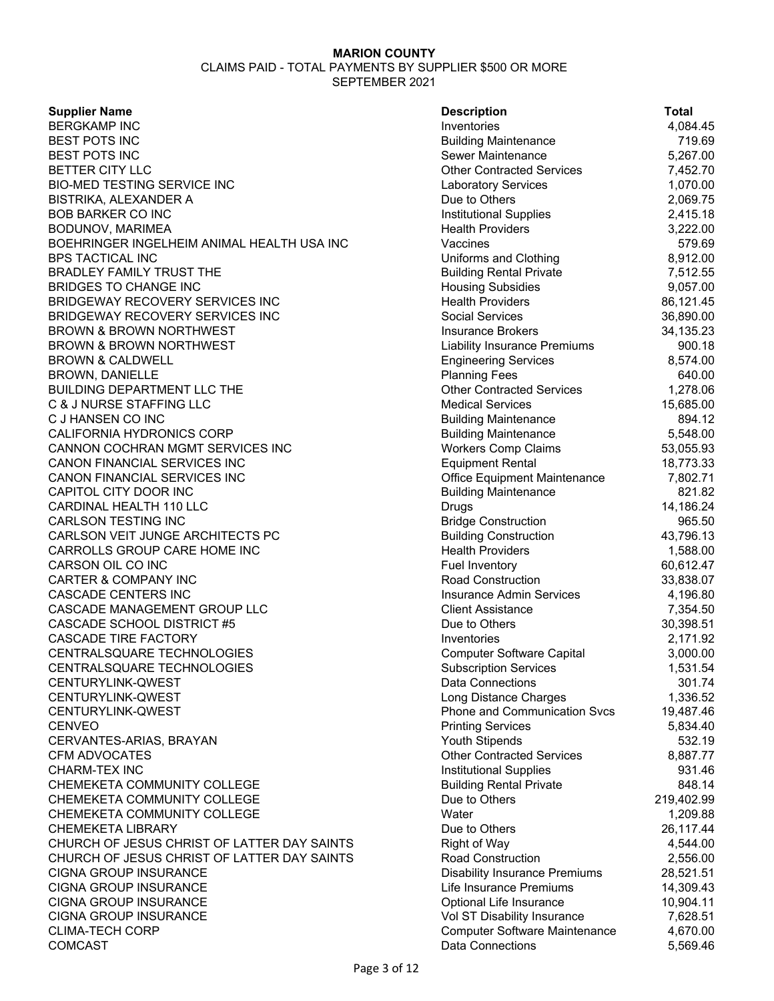| <b>Supplier Name</b>                        | <b>Description</b>                   | <b>Total</b> |
|---------------------------------------------|--------------------------------------|--------------|
| <b>BERGKAMP INC</b>                         | Inventories                          | 4,084.45     |
| BEST POTS INC                               | <b>Building Maintenance</b>          | 719.69       |
| BEST POTS INC                               | Sewer Maintenance                    | 5,267.00     |
| BETTER CITY LLC                             | <b>Other Contracted Services</b>     | 7,452.70     |
| BIO-MED TESTING SERVICE INC                 | <b>Laboratory Services</b>           | 1,070.00     |
| BISTRIKA, ALEXANDER A                       | Due to Others                        | 2,069.75     |
| BOB BARKER CO INC                           | <b>Institutional Supplies</b>        | 2,415.18     |
| BODUNOV, MARIMEA                            | <b>Health Providers</b>              | 3,222.00     |
| BOEHRINGER INGELHEIM ANIMAL HEALTH USA INC  | Vaccines                             | 579.69       |
| <b>BPS TACTICAL INC</b>                     | Uniforms and Clothing                | 8,912.00     |
| BRADLEY FAMILY TRUST THE                    | <b>Building Rental Private</b>       | 7,512.55     |
| BRIDGES TO CHANGE INC                       | <b>Housing Subsidies</b>             | 9,057.00     |
| BRIDGEWAY RECOVERY SERVICES INC             | <b>Health Providers</b>              | 86,121.45    |
| BRIDGEWAY RECOVERY SERVICES INC             | <b>Social Services</b>               | 36,890.00    |
| BROWN & BROWN NORTHWEST                     | <b>Insurance Brokers</b>             | 34,135.23    |
| BROWN & BROWN NORTHWEST                     | <b>Liability Insurance Premiums</b>  | 900.18       |
| <b>BROWN &amp; CALDWELL</b>                 | <b>Engineering Services</b>          | 8,574.00     |
| <b>BROWN, DANIELLE</b>                      | <b>Planning Fees</b>                 | 640.00       |
| BUILDING DEPARTMENT LLC THE                 | <b>Other Contracted Services</b>     | 1,278.06     |
| <b>C &amp; J NURSE STAFFING LLC</b>         | <b>Medical Services</b>              | 15,685.00    |
| C J HANSEN CO INC                           | <b>Building Maintenance</b>          | 894.12       |
| CALIFORNIA HYDRONICS CORP                   | <b>Building Maintenance</b>          | 5,548.00     |
| CANNON COCHRAN MGMT SERVICES INC            | <b>Workers Comp Claims</b>           | 53,055.93    |
| CANON FINANCIAL SERVICES INC                | <b>Equipment Rental</b>              | 18,773.33    |
| CANON FINANCIAL SERVICES INC                | Office Equipment Maintenance         | 7,802.71     |
| CAPITOL CITY DOOR INC                       | <b>Building Maintenance</b>          | 821.82       |
| CARDINAL HEALTH 110 LLC                     | <b>Drugs</b>                         | 14,186.24    |
| CARLSON TESTING INC                         | <b>Bridge Construction</b>           | 965.50       |
| CARLSON VEIT JUNGE ARCHITECTS PC            | <b>Building Construction</b>         | 43,796.13    |
| CARROLLS GROUP CARE HOME INC                | <b>Health Providers</b>              | 1,588.00     |
| CARSON OIL CO INC                           | Fuel Inventory                       | 60,612.47    |
| CARTER & COMPANY INC                        | Road Construction                    | 33,838.07    |
| CASCADE CENTERS INC                         | <b>Insurance Admin Services</b>      | 4,196.80     |
| CASCADE MANAGEMENT GROUP LLC                | <b>Client Assistance</b>             | 7,354.50     |
| <b>CASCADE SCHOOL DISTRICT #5</b>           | Due to Others                        | 30,398.51    |
| <b>CASCADE TIRE FACTORY</b>                 | Inventories                          | 2,171.92     |
| CENTRALSQUARE TECHNOLOGIES                  | <b>Computer Software Capital</b>     | 3,000.00     |
| CENTRALSQUARE TECHNOLOGIES                  | <b>Subscription Services</b>         | 1,531.54     |
| CENTURYLINK-QWEST                           | <b>Data Connections</b>              | 301.74       |
| CENTURYLINK-QWEST                           | Long Distance Charges                | 1,336.52     |
| CENTURYLINK-QWEST                           | <b>Phone and Communication Svcs</b>  | 19,487.46    |
| CENVEO                                      | <b>Printing Services</b>             | 5,834.40     |
| CERVANTES-ARIAS, BRAYAN                     | <b>Youth Stipends</b>                | 532.19       |
| CFM ADVOCATES                               | <b>Other Contracted Services</b>     | 8,887.77     |
| CHARM-TEX INC                               | <b>Institutional Supplies</b>        | 931.46       |
| CHEMEKETA COMMUNITY COLLEGE                 | <b>Building Rental Private</b>       | 848.14       |
| CHEMEKETA COMMUNITY COLLEGE                 | Due to Others                        | 219,402.99   |
| CHEMEKETA COMMUNITY COLLEGE                 | Water                                | 1,209.88     |
| CHEMEKETA LIBRARY                           | Due to Others                        | 26,117.44    |
| CHURCH OF JESUS CHRIST OF LATTER DAY SAINTS | <b>Right of Way</b>                  | 4,544.00     |
| CHURCH OF JESUS CHRIST OF LATTER DAY SAINTS | Road Construction                    | 2,556.00     |
| CIGNA GROUP INSURANCE                       | <b>Disability Insurance Premiums</b> | 28,521.51    |
| CIGNA GROUP INSURANCE                       | Life Insurance Premiums              | 14,309.43    |
| CIGNA GROUP INSURANCE                       | Optional Life Insurance              | 10,904.11    |
| CIGNA GROUP INSURANCE                       | Vol ST Disability Insurance          | 7,628.51     |
| <b>CLIMA-TECH CORP</b>                      | <b>Computer Software Maintenance</b> | 4,670.00     |
| COMCAST                                     | Data Connections                     | 5,569.46     |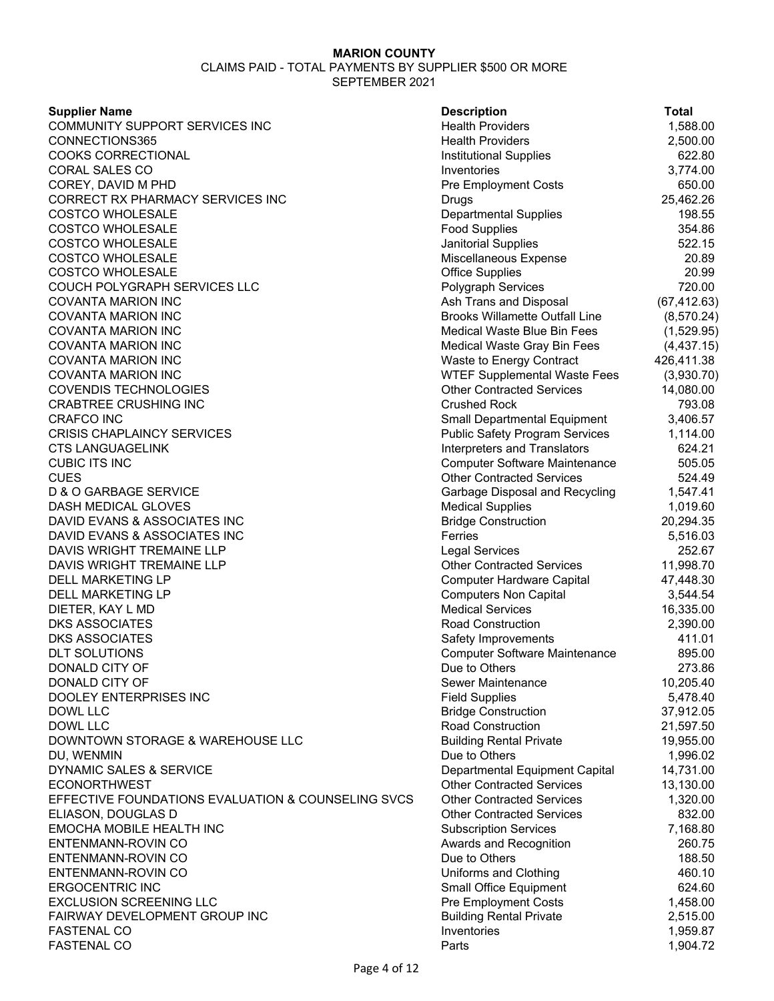#### CLAIMS PAID - TOTAL PAYMENTS BY SUPPLIER \$500 OR MORE SEPTEMBER 2021

**Supplier Name Community Community Community Community Community Community Community Community Community Community** COMMUNITY SUPPORT SERVICES INC **COMMUNITY SUPPORT SERVICES** INC CONNECTIONS365 Health Providers 2,500.00 COOKS CORRECTIONAL Institutional Supplies 622.80 CORAL SALES CO Inventories 3,774.00 COREY, DAVID M PHD **Pre Employment Costs** 650.00 CORRECT RX PHARMACY SERVICES INC **Example 25,462.26** Drugs 25,462.26 COSTCO WHOLESALE **COST EXECUTE:** 198.55 COSTCO WHOLESALE **Food Supplies** 354.86 COSTCO WHOLESALE **COST EXECUTE:** 1999 TO SEAL A SEAL AND SEAL AND SEAL AND SEAL AT STATE SEAL ASSAULT SEAL AND STA COSTCO WHOLESALE **COST EXPENSIVE COST COST EXPENSE 20.89** Miscellaneous Expense 20.89 COSTCO WHOLESALE Office Supplies 20.99 COUCH POLYGRAPH SERVICES LLC Polygraph Services 720.00 COVANTA MARION INC Ash Trans and Disposal (67,412.63) COVANTA MARION INC Brooks Willamette Outfall Line (8,570.24) COVANTA MARION INC Medical Waste Blue Bin Fees (1,529.95) COVANTA MARION INC Medical Waste Gray Bin Fees (4,437.15) COVANTA MARION INC Waste to Energy Contract 426,411.38 COVANTA MARION INC WTEF Supplemental Waste Fees (3,930.70) COVENDIS TECHNOLOGIES Other Contracted Services 14,080.00 CRABTREE CRUSHING INC Crushed Rock 793.08 CRAFCO INC 6.57 CRISIS CHAPLAINCY SERVICES Public Safety Program Services 1,114.0 0 CTS LANGUAGELINK Interpreters and Translators 624.21 CUBIC ITS INC Computer Software Maintenance 505.05 CUES Other Contracted Services 524.49 D & O GARBAGE SERVICE **Garbage Disposal and Recycling 1,547.41** DASH MEDICAL GLOVES Medical Supplies 1,019.60 DAVID EVANS & ASSOCIATES INC **Bridge Construction** 20,294.35 DAVID EVANS & ASSOCIATES INC Ferries Ferries Ferries 5,516.03 DAVIS WRIGHT TREMAINE LLP Legal Services 252.67 DAVIS WRIGHT TREMAINE LLP **CONTRACTED SERVICES** Other Contracted Services 11,998.70 DELL MARKETING LP **Computer Hardware Capital** 47,448.30 DELL MARKETING LP **Computers Non Capital** 3,544.54 DIETER, KAY L MD Medical Services 16,335.00 DKS ASSOCIATES Road Construction 2,390.00 DKS ASSOCIATES 411.01 DLT SOLUTIONS Computer Software Maintenance 895.00 DONALD CITY OF 273.86 DONALD CITY OF SERVICE SERVICE SERVICE SERVICE SERVICE SERVICE SERVICE SERVICE SERVICE SERVICE SERVICE SERVICE DOOLEY ENTERPRISES INC Field Supplies 5,478.40 DOWL LLC Bridge Construction 37,912.05 DOWL LLC Road Construction 21,597.50 DOWNTOWN STORAGE & WAREHOUSE LLC Building Rental Private 19,955.00 DU, WENMIN Due to Others 1,996.02 DYNAMIC SALES & SERVICE **DEPARTMENT CAPITS** Departmental Equipment Capital 14,731.00 ECONORTHWEST Other Contracted Services 13,130.00 EFFECTIVE FOUNDATIONS EVALUATION & COUNSELING SVCS Other Contracted Services 1,320.00 ELIASON, DOUGLAS D Other Contracted Services 832.00 EMOCHA MOBILE HEALTH INC **EXECUTE:** Subscription Services 7,168.80 ENTENMANN-ROVIN CO Awards and Recognition 260.75 ENTENMANN-ROVIN CO Due to Others 188.50 ENTENMANN-ROVIN CO Uniforms and Clothing 460.10 ERGOCENTRIC INC 624.60 EXCLUSION SCREENING LLC **EXECLUSION** SCREENING LLC FAIRWAY DEVELOPMENT GROUP INC **Building Rental Private** 2,515.00 FASTENAL CO Inventories 1,959.87 FASTENAL CO Parts 1,904.72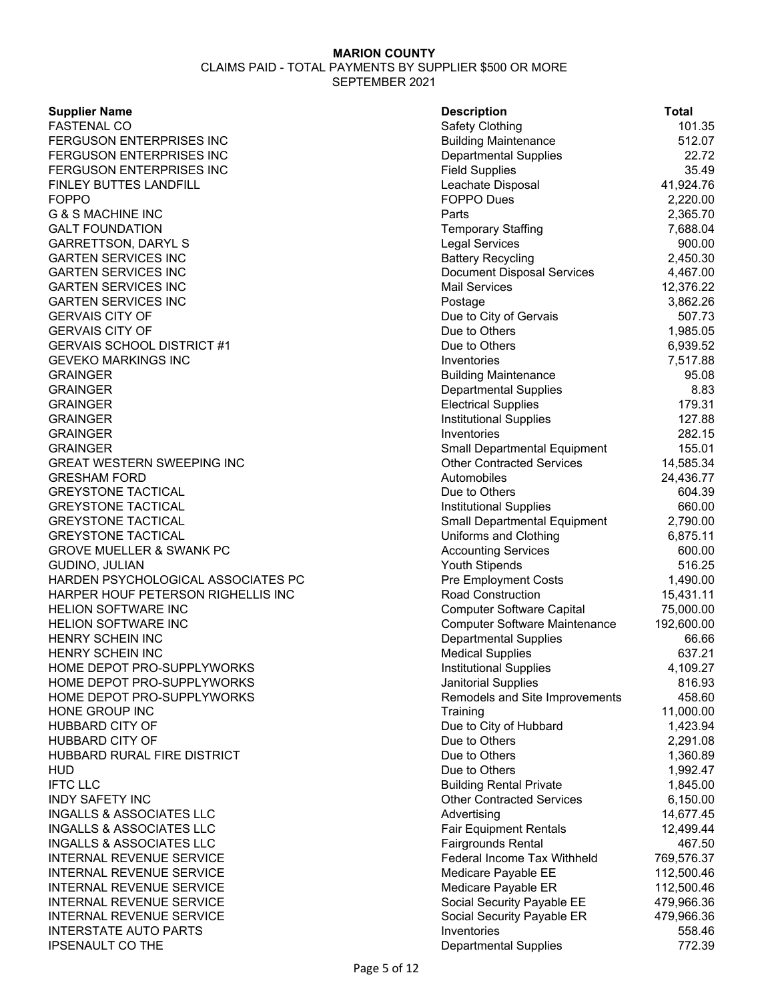CLAIMS PAID - TOTAL PAYMENTS BY SUPPLIER \$500 OR MORE SEPTEMBER 2021

### **Supplier Name**

| <b>Supplier Name</b>                | <b>Description</b>                   | <b>Total</b> |
|-------------------------------------|--------------------------------------|--------------|
| <b>FASTENAL CO</b>                  | Safety Clothing                      | 101.35       |
| FERGUSON ENTERPRISES INC            | <b>Building Maintenance</b>          | 512.07       |
| FERGUSON ENTERPRISES INC            | <b>Departmental Supplies</b>         | 22.72        |
| FERGUSON ENTERPRISES INC            | <b>Field Supplies</b>                | 35.49        |
| FINLEY BUTTES LANDFILL              | Leachate Disposal                    | 41,924.76    |
| <b>FOPPO</b>                        | <b>FOPPO Dues</b>                    | 2,220.00     |
| <b>G &amp; S MACHINE INC</b>        | Parts                                | 2,365.70     |
| <b>GALT FOUNDATION</b>              | <b>Temporary Staffing</b>            | 7,688.04     |
| <b>GARRETTSON, DARYL S</b>          | <b>Legal Services</b>                | 900.00       |
| <b>GARTEN SERVICES INC</b>          | <b>Battery Recycling</b>             | 2,450.30     |
| <b>GARTEN SERVICES INC</b>          | <b>Document Disposal Services</b>    | 4,467.00     |
| <b>GARTEN SERVICES INC</b>          | <b>Mail Services</b>                 | 12,376.22    |
| <b>GARTEN SERVICES INC</b>          | Postage                              | 3,862.26     |
| <b>GERVAIS CITY OF</b>              | Due to City of Gervais               | 507.73       |
| <b>GERVAIS CITY OF</b>              | Due to Others                        | 1,985.05     |
| <b>GERVAIS SCHOOL DISTRICT #1</b>   | Due to Others                        | 6,939.52     |
| GEVEKO MARKINGS INC                 | Inventories                          | 7,517.88     |
| GRAINGER                            | <b>Building Maintenance</b>          | 95.08        |
| GRAINGER                            | <b>Departmental Supplies</b>         | 8.83         |
| GRAINGER                            | <b>Electrical Supplies</b>           | 179.31       |
| GRAINGER                            | <b>Institutional Supplies</b>        | 127.88       |
| GRAINGER                            | Inventories                          | 282.15       |
| GRAINGER                            | <b>Small Departmental Equipment</b>  | 155.01       |
| GREAT WESTERN SWEEPING INC          | <b>Other Contracted Services</b>     | 14,585.34    |
| GRESHAM FORD                        | Automobiles                          | 24,436.77    |
| <b>GREYSTONE TACTICAL</b>           | Due to Others                        | 604.39       |
| <b>GREYSTONE TACTICAL</b>           | Institutional Supplies               | 660.00       |
| <b>GREYSTONE TACTICAL</b>           | Small Departmental Equipment         | 2,790.00     |
| <b>GREYSTONE TACTICAL</b>           | Uniforms and Clothing                | 6,875.11     |
| <b>GROVE MUELLER &amp; SWANK PC</b> | <b>Accounting Services</b>           | 600.00       |
| GUDINO, JULIAN                      | Youth Stipends                       | 516.25       |
| HARDEN PSYCHOLOGICAL ASSOCIATES PC  | <b>Pre Employment Costs</b>          | 1,490.00     |
| HARPER HOUF PETERSON RIGHELLIS INC  | <b>Road Construction</b>             | 15,431.11    |
| <b>HELION SOFTWARE INC</b>          | <b>Computer Software Capital</b>     | 75,000.00    |
| <b>HELION SOFTWARE INC</b>          | <b>Computer Software Maintenance</b> | 192,600.00   |
| HENRY SCHEIN INC                    | <b>Departmental Supplies</b>         | 66.66        |
| HENRY SCHEIN INC                    | <b>Medical Supplies</b>              | 637.21       |
| HOME DEPOT PRO-SUPPLYWORKS          | Institutional Supplies               | 4,109.27     |
| HOME DEPOT PRO-SUPPLYWORKS          | Janitorial Supplies                  | 816.93       |
| HOME DEPOT PRO-SUPPLYWORKS          | Remodels and Site Improvements       | 458.60       |
| HONE GROUP INC                      | Training                             | 11,000.00    |
| HUBBARD CITY OF                     | Due to City of Hubbard               | 1,423.94     |
| HUBBARD CITY OF                     | Due to Others                        | 2,291.08     |
| HUBBARD RURAL FIRE DISTRICT         | Due to Others                        | 1,360.89     |
| HUD                                 | Due to Others                        | 1,992.47     |
| <b>IFTC LLC</b>                     | <b>Building Rental Private</b>       | 1,845.00     |
| <b>INDY SAFETY INC</b>              | <b>Other Contracted Services</b>     | 6,150.00     |
| INGALLS & ASSOCIATES LLC            | Advertising                          | 14,677.45    |
| <b>INGALLS &amp; ASSOCIATES LLC</b> | <b>Fair Equipment Rentals</b>        | 12,499.44    |
| INGALLS & ASSOCIATES LLC            | <b>Fairgrounds Rental</b>            | 467.50       |
| INTERNAL REVENUE SERVICE            | Federal Income Tax Withheld          | 769,576.37   |
| INTERNAL REVENUE SERVICE            | Medicare Payable EE                  | 112,500.46   |
| INTERNAL REVENUE SERVICE            | Medicare Payable ER                  | 112,500.46   |
| INTERNAL REVENUE SERVICE            | Social Security Payable EE           | 479,966.36   |
| INTERNAL REVENUE SERVICE            | Social Security Payable ER           | 479,966.36   |
| <b>INTERSTATE AUTO PARTS</b>        | Inventories                          | 558.46       |
| <b>IPSENAULT CO THE</b>             | <b>Departmental Supplies</b>         | 772.39       |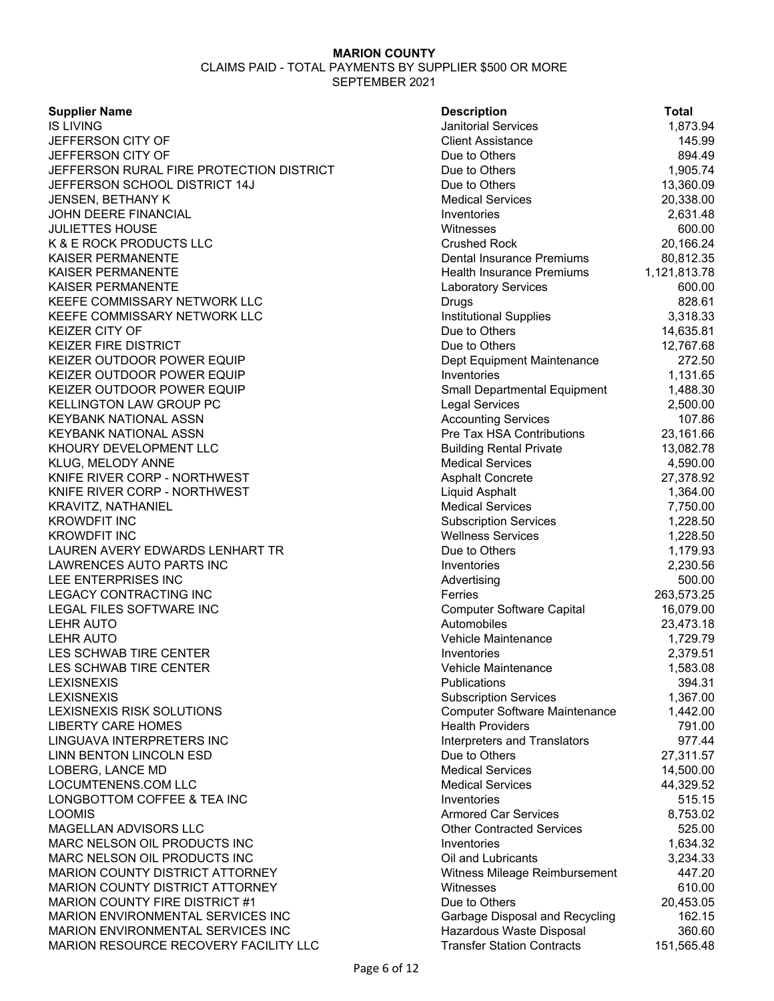#### SEPTEMBER 2021

# **Supplier Name**

| Supplier Name                            | <b>Description</b>                   | <b>Total</b> |
|------------------------------------------|--------------------------------------|--------------|
| IS LIVING                                | <b>Janitorial Services</b>           | 1,873.94     |
| JEFFERSON CITY OF                        | <b>Client Assistance</b>             | 145.99       |
| JEFFERSON CITY OF                        | Due to Others                        | 894.49       |
| JEFFERSON RURAL FIRE PROTECTION DISTRICT | Due to Others                        | 1,905.74     |
| JEFFERSON SCHOOL DISTRICT 14J            | Due to Others                        | 13,360.09    |
| JENSEN, BETHANY K                        | <b>Medical Services</b>              | 20,338.00    |
| JOHN DEERE FINANCIAL                     | Inventories                          | 2,631.48     |
| <b>JULIETTES HOUSE</b>                   | Witnesses                            | 600.00       |
| K & E ROCK PRODUCTS LLC                  | <b>Crushed Rock</b>                  | 20,166.24    |
| KAISER PERMANENTE                        | Dental Insurance Premiums            | 80,812.35    |
| KAISER PERMANENTE                        | <b>Health Insurance Premiums</b>     | 1,121,813.78 |
| KAISER PERMANENTE                        | <b>Laboratory Services</b>           | 600.00       |
| KEEFE COMMISSARY NETWORK LLC             | Drugs                                | 828.61       |
| KEEFE COMMISSARY NETWORK LLC             | <b>Institutional Supplies</b>        | 3,318.33     |
| KEIZER CITY OF                           | Due to Others                        | 14,635.81    |
| KEIZER FIRE DISTRICT                     | Due to Others                        | 12,767.68    |
| KEIZER OUTDOOR POWER EQUIP               | Dept Equipment Maintenance           | 272.50       |
| KEIZER OUTDOOR POWER EQUIP               | Inventories                          | 1,131.65     |
| KEIZER OUTDOOR POWER EQUIP               | <b>Small Departmental Equipment</b>  | 1,488.30     |
| KELLINGTON LAW GROUP PC                  | <b>Legal Services</b>                | 2,500.00     |
| KEYBANK NATIONAL ASSN                    | <b>Accounting Services</b>           | 107.86       |
| KEYBANK NATIONAL ASSN                    | Pre Tax HSA Contributions            | 23,161.66    |
| KHOURY DEVELOPMENT LLC                   | <b>Building Rental Private</b>       | 13,082.78    |
| KLUG, MELODY ANNE                        | <b>Medical Services</b>              | 4,590.00     |
| KNIFE RIVER CORP - NORTHWEST             | <b>Asphalt Concrete</b>              | 27,378.92    |
| KNIFE RIVER CORP - NORTHWEST             | Liquid Asphalt                       | 1,364.00     |
| KRAVITZ, NATHANIEL                       | <b>Medical Services</b>              | 7,750.00     |
| <b>KROWDFIT INC</b>                      | <b>Subscription Services</b>         | 1,228.50     |
| KROWDFIT INC                             | <b>Wellness Services</b>             | 1,228.50     |
| LAUREN AVERY EDWARDS LENHART TR          | Due to Others                        | 1,179.93     |
| LAWRENCES AUTO PARTS INC                 | Inventories                          | 2,230.56     |
| LEE ENTERPRISES INC                      | Advertising                          | 500.00       |
| <b>LEGACY CONTRACTING INC</b>            | Ferries                              | 263,573.25   |
| LEGAL FILES SOFTWARE INC                 | <b>Computer Software Capital</b>     | 16,079.00    |
| <b>LEHR AUTO</b>                         | Automobiles                          | 23,473.18    |
| LEHR AUTO                                | Vehicle Maintenance                  | 1,729.79     |
| LES SCHWAB TIRE CENTER                   | Inventories                          | 2,379.51     |
| LES SCHWAB TIRE CENTER                   | Vehicle Maintenance                  | 1,583.08     |
| LEXISNEXIS                               | Publications                         | 394.31       |
| LEXISNEXIS                               | <b>Subscription Services</b>         | 1,367.00     |
| LEXISNEXIS RISK SOLUTIONS                | <b>Computer Software Maintenance</b> | 1,442.00     |
| <b>LIBERTY CARE HOMES</b>                | <b>Health Providers</b>              | 791.00       |
| LINGUAVA INTERPRETERS INC                | Interpreters and Translators         | 977.44       |
| LINN BENTON LINCOLN ESD                  | Due to Others                        | 27,311.57    |
| LOBERG, LANCE MD                         | <b>Medical Services</b>              | 14,500.00    |
| LOCUMTENENS.COM LLC                      | <b>Medical Services</b>              | 44,329.52    |
| LONGBOTTOM COFFEE & TEA INC              | Inventories                          | 515.15       |
| LOOMIS                                   | <b>Armored Car Services</b>          | 8,753.02     |
| MAGELLAN ADVISORS LLC                    | <b>Other Contracted Services</b>     | 525.00       |
| MARC NELSON OIL PRODUCTS INC             | Inventories                          | 1,634.32     |
| MARC NELSON OIL PRODUCTS INC             | Oil and Lubricants                   | 3,234.33     |
| <b>MARION COUNTY DISTRICT ATTORNEY</b>   | Witness Mileage Reimbursement        | 447.20       |
| MARION COUNTY DISTRICT ATTORNEY          | Witnesses                            | 610.00       |
| <b>MARION COUNTY FIRE DISTRICT #1</b>    | Due to Others                        | 20,453.05    |
| MARION ENVIRONMENTAL SERVICES INC        | Garbage Disposal and Recycling       | 162.15       |
| MARION ENVIRONMENTAL SERVICES INC        | Hazardous Waste Disposal             | 360.60       |
| MARION RESOURCE RECOVERY FACILITY LLC    | <b>Transfer Station Contracts</b>    | 151,565.48   |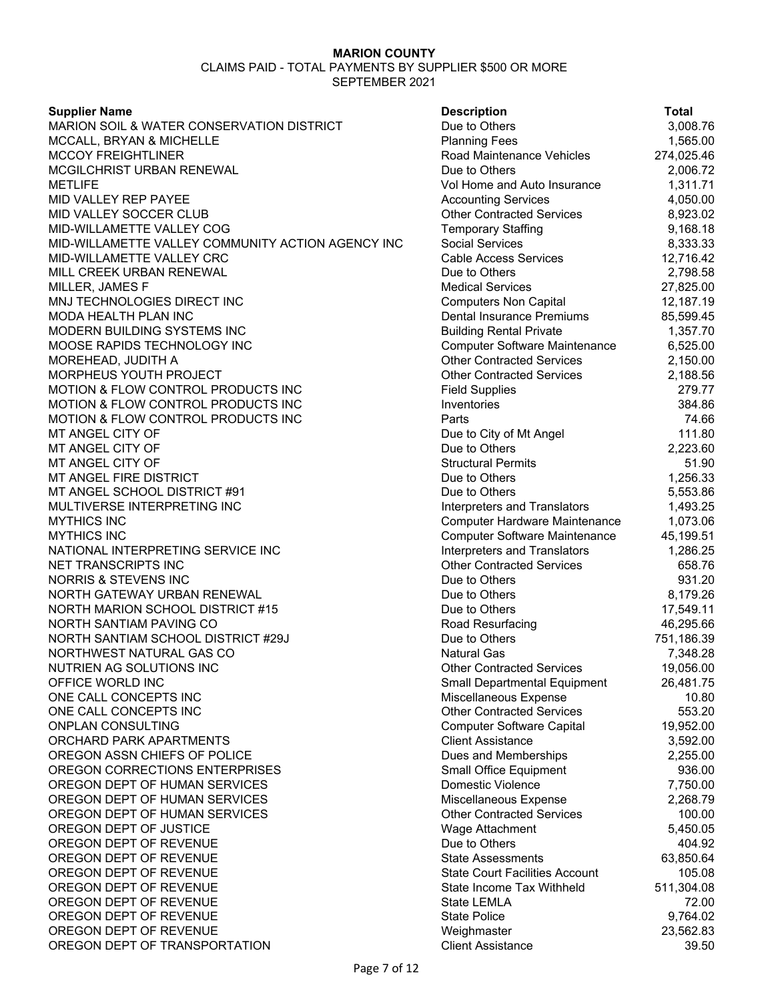# **Supplier Name**

MARION SOIL & WATER CONSERVATION DISTRICT MCCALL, BRYAN & MICHELLE MCCOY FREIGHTLINER MCGILCHRIST URBAN RENEWAL METLIFE Vol Home and Auto Insurance 1,311.71 MID VALLEY REP PAYEE MID VALLEY SOCCER CLUB MID-WILLAMETTE VALLEY COG MID-WILLAMETTE VALLEY COMMUNITY ACTION AGENCY INC MID-WILLAMETTE VALLEY CRC MILL CREEK URBAN RENEWAL MILLER, JAMES F MNJ TECHNOLOGIES DIRECT INC MODA HEALTH PLAN INC MODERN BUILDING SYSTEMS INC MOOSE RAPIDS TECHNOLOGY INC MOREHEAD, JUDITH A MORPHEUS YOUTH PROJECT MOTION & FLOW CONTROL PRODUCTS INC MOTION & FLOW CONTROL PRODUCTS INC MOTION & FLOW CONTROL PRODUCTS INC MT ANGEL CITY OF MT ANGEL CITY OF MT ANGEL CITY OF MT ANGEL FIRE DISTRICT MT ANGEL SCHOOL DISTRICT #91 MULTIVERSE INTERPRETING INC MYTHICS INC Computer Hardware Maintenance 1,073.06 MYTHICS INC NATIONAL INTERPRETING SERVICE INC NET TRANSCRIPTS INC NORRIS & STEVENS INC NORTH GATEWAY URBAN RENEWAL NORTH MARION SCHOOL DISTRICT #15 NORTH SANTIAM PAVING CO NORTH SANTIAM SCHOOL DISTRICT #29J NORTHWEST NATURAL GAS CO NUTRIEN AG SOLUTIONS INC OFFICE WORLD INC ONE CALL CONCEPTS INC ONE CALL CONCEPTS INC ONPLAN CONSULTING ORCHARD PARK APARTMENTS OREGON ASSN CHIEFS OF POLICE OREGON CORRECTIONS ENTERPRISES OREGON DEPT OF HUMAN SERVICES OREGON DEPT OF HUMAN SERVICES OREGON DEPT OF HUMAN SERVICES OREGON DEPT OF JUSTICE OREGON DEPT OF REVENUE OREGON DEPT OF REVENUE OREGON DEPT OF REVENUE OREGON DEPT OF REVENUE OREGON DEPT OF REVENUE OREGON DEPT OF REVENUE OREGON DEPT OF REVENUE OREGON DEPT OF TRANSPORTATION

| <b>Description</b>                                | Total              |
|---------------------------------------------------|--------------------|
| Due to Others                                     | 3,008.76           |
| <b>Planning Fees</b>                              | 1,565.00           |
| Road Maintenance Vehicles                         | 274,025.46         |
| Due to Others                                     | 2,006.72           |
| Vol Home and Auto Insurance                       | 1,311.71           |
| <b>Accounting Services</b>                        | 4,050.00           |
| <b>Other Contracted Services</b>                  | 8,923.02           |
| <b>Temporary Staffing</b>                         | 9,168.18           |
| <b>Social Services</b>                            | 8,333.33           |
| <b>Cable Access Services</b>                      | 12,716.42          |
| Due to Others                                     | 2,798.58           |
| <b>Medical Services</b>                           | 27,825.00          |
| <b>Computers Non Capital</b>                      | 12,187.19          |
| <b>Dental Insurance Premiums</b>                  | 85,599.45          |
| <b>Building Rental Private</b>                    | 1,357.70           |
| <b>Computer Software Maintenance</b>              | 6,525.00           |
| <b>Other Contracted Services</b>                  | 2,150.00           |
| <b>Other Contracted Services</b>                  | 2,188.56           |
| <b>Field Supplies</b>                             | 279.77             |
| Inventories                                       | 384.86             |
| Parts                                             | 74.66              |
| Due to City of Mt Angel                           | 111.80             |
| Due to Others                                     | 2,223.60           |
| <b>Structural Permits</b>                         | 51.90              |
| Due to Others                                     | 1,256.33           |
| Due to Others                                     | 5,553.86           |
| Interpreters and Translators                      | 1,493.25           |
| Computer Hardware Maintenance                     | 1,073.06           |
| <b>Computer Software Maintenance</b>              | 45,199.51          |
| <b>Interpreters and Translators</b>               | 1,286.25           |
| <b>Other Contracted Services</b><br>Due to Others | 658.76             |
| Due to Others                                     | 931.20<br>8,179.26 |
| Due to Others                                     | 17,549.11          |
| Road Resurfacing                                  | 46,295.66          |
| Due to Others                                     | 751,186.39         |
| <b>Natural Gas</b>                                | 7,348.28           |
| <b>Other Contracted Services</b>                  | 19,056.00          |
| <b>Small Departmental Equipment</b>               | 26,481.75          |
| Miscellaneous Expense                             | 10.80              |
| <b>Other Contracted Services</b>                  | 553.20             |
| <b>Computer Software Capital</b>                  | 19,952.00          |
| <b>Client Assistance</b>                          | 3,592.00           |
| Dues and Memberships                              | 2,255.00           |
| Small Office Equipment                            | 936.00             |
| Domestic Violence                                 | 7,750.00           |
| Miscellaneous Expense                             | 2,268.79           |
| <b>Other Contracted Services</b>                  | 100.00             |
| Wage Attachment                                   | 5,450.05           |
| Due to Others                                     | 404.92             |
| <b>State Assessments</b>                          | 63,850.64          |
| <b>State Court Facilities Account</b>             | 105.08             |
| <b>State Income Tax Withheld</b>                  | 511,304.08         |
| <b>State LEMLA</b>                                | 72.00              |
| <b>State Police</b>                               | 9,764.02           |
| Weighmaster                                       | 23,562.83          |
| <b>Client Assistance</b>                          | 39.50              |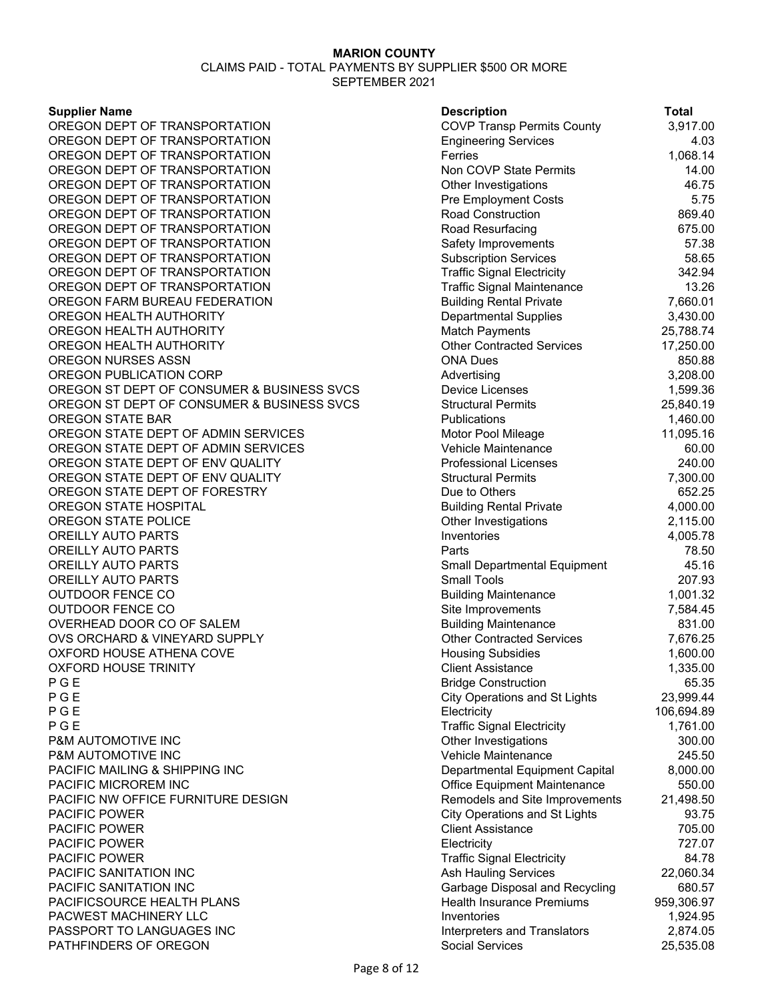#### CLAIMS PAID - TOTAL PAYMENTS BY SUPPLIER \$500 OR MORE SEPTEMBER 2021

#### **Supplier Name**

OREGON DEPT OF TRANSPORTATION OREGON DEPT OF TRANSPORTATION OREGON DEPT OF TRANSPORTATION OREGON DEPT OF TRANSPORTATION OREGON DEPT OF TRANSPORTATION OREGON DEPT OF TRANSPORTATION OREGON DEPT OF TRANSPORTATION OREGON DEPT OF TRANSPORTATION OREGON DEPT OF TRANSPORTATION OREGON DEPT OF TRANSPORTATION OREGON DEPT OF TRANSPORTATION OREGON DEPT OF TRANSPORTATION OREGON FARM BUREAU FEDERATION OREGON HEALTH AUTHORITY OREGON HEALTH AUTHORITY OREGON HEALTH AUTHORITY OREGON NURSES ASSN OREGON PUBLICATION CORP OREGON ST DEPT OF CONSUMER & BUSINESS SVCS OREGON ST DEPT OF CONSUMER & BUSINESS SVCS OREGON STATE BAR OREGON STATE DEPT OF ADMIN SERVICES OREGON STATE DEPT OF ADMIN SERVICES OREGON STATE DEPT OF ENV QUALITY OREGON STATE DEPT OF ENV QUALITY OREGON STATE DEPT OF FORESTRY OREGON STATE HOSPITAL OREGON STATE POLICE OREILLY AUTO PARTS OREILLY AUTO PARTS OREILLY AUTO PARTS OREILLY AUTO PARTS **OUTDOOR FENCE CO OUTDOOR FENCE CO** OVERHEAD DOOR CO OF SALEM OVS ORCHARD & VINEYARD SUPPLY OXFORD HOUSE ATHENA COVE OXFORD HOUSE TRINITY<br>P G E P G E Bridge Construction 65.35 P G E City Operations and St Lights 23,999.44 P G E Electricity 106,694.89 P G E Traffic Signal Electricity 1,761.00 **P&M AUTOMOTIVE INC** P&M AUTOMOTIVE INC PACIFIC MAILING & SHIPPING INC PACIFIC MICROREM INC PACIFIC NW OFFICE FURNITURE DESIGN PACIFIC POWER PACIFIC POWER **PACIFIC POWER** PACIFIC POWER PACIFIC SANITATION INC PACIFIC SANITATION INC PACIFICSOURCE HEALTH PLANS PACWEST MACHINERY LLC PASSPORT TO LANGUAGES INC PATHFINDERS OF OREGON

| <b>Description</b>                                        | <b>Total</b>       |
|-----------------------------------------------------------|--------------------|
| <b>COVP Transp Permits County</b>                         | 3,917.00           |
| <b>Engineering Services</b>                               | 4.03               |
| Ferries                                                   | 1,068.14           |
| Non COVP State Permits                                    | 14.00              |
| Other Investigations                                      | 46.75              |
| <b>Pre Employment Costs</b>                               | 5.75               |
| Road Construction                                         | 869.40             |
| Road Resurfacing                                          | 675.00             |
| Safety Improvements                                       | 57.38              |
| <b>Subscription Services</b>                              | 58.65              |
| <b>Traffic Signal Electricity</b>                         | 342.94             |
| <b>Traffic Signal Maintenance</b>                         | 13.26              |
| <b>Building Rental Private</b>                            | 7,660.01           |
| <b>Departmental Supplies</b>                              | 3,430.00           |
| <b>Match Payments</b>                                     | 25,788.74          |
| <b>Other Contracted Services</b>                          | 17,250.00          |
| <b>ONA Dues</b>                                           | 850.88             |
| Advertising                                               | 3,208.00           |
| <b>Device Licenses</b>                                    | 1,599.36           |
| <b>Structural Permits</b>                                 | 25,840.19          |
| Publications                                              | 1,460.00           |
| Motor Pool Mileage                                        | 11,095.16          |
| Vehicle Maintenance                                       | 60.00              |
| <b>Professional Licenses</b>                              | 240.00             |
| <b>Structural Permits</b>                                 | 7,300.00           |
| Due to Others                                             | 652.25             |
| <b>Building Rental Private</b>                            | 4,000.00           |
| Other Investigations                                      | 2,115.00           |
| Inventories                                               | 4,005.78           |
| Parts                                                     | 78.50              |
| <b>Small Departmental Equipment</b>                       | 45.16              |
| <b>Small Tools</b>                                        | 207.93             |
| <b>Building Maintenance</b>                               | 1,001.32           |
| Site Improvements                                         | 7,584.45           |
| <b>Building Maintenance</b>                               | 831.00             |
| <b>Other Contracted Services</b>                          | 7,676.25           |
| <b>Housing Subsidies</b>                                  | 1,600.00           |
| <b>Client Assistance</b>                                  | 1,335.00           |
| <b>Bridge Construction</b>                                | 65.35              |
| <b>City Operations and St Lights</b>                      | 23,999.44          |
| Electricity                                               | 106,694.89         |
| <b>Traffic Signal Electricity</b><br>Other Investigations | 1,761.00<br>300.00 |
| Vehicle Maintenance                                       | 245.50             |
| Departmental Equipment Capital                            | 8,000.00           |
| <b>Office Equipment Maintenance</b>                       | 550.00             |
| Remodels and Site Improvements                            | 21,498.50          |
| <b>City Operations and St Lights</b>                      | 93.75              |
| <b>Client Assistance</b>                                  | 705.00             |
| Electricity                                               | 727.07             |
| <b>Traffic Signal Electricity</b>                         | 84.78              |
| <b>Ash Hauling Services</b>                               | 22,060.34          |
| Garbage Disposal and Recycling                            | 680.57             |
| <b>Health Insurance Premiums</b>                          | 959,306.97         |
| Inventories                                               | 1,924.95           |
| Interpreters and Translators                              | 2,874.05           |
| Social Services                                           | 25,535.08          |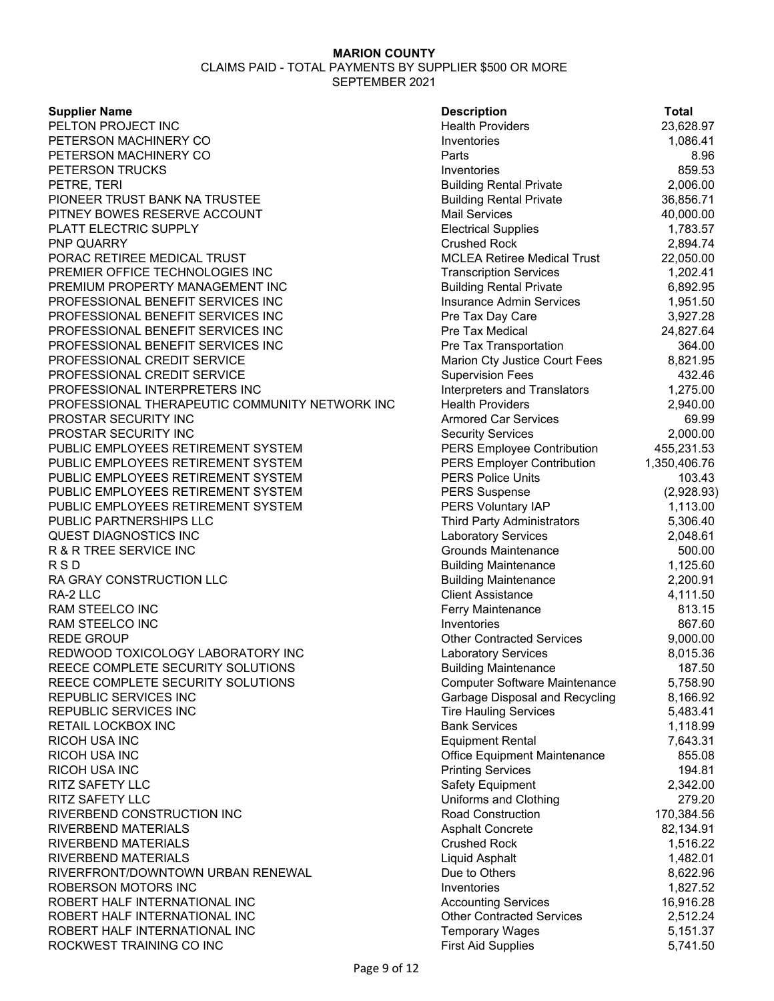CLAIMS PAID - TOTAL PAYMENTS BY SUPPLIER \$500 OR MORE SEPTEMBER 2021

#### **Supplier Name**

PELTON PROJECT INC PETERSON MACHINERY CO PETERSON MACHINERY CO **PETERSON TRUCKS** PETRE, TERI PIONEER TRUST BANK NA TRUSTEE PITNEY BOWES RESERVE ACCOUNT PLATT ELECTRIC SUPPLY PNP QUARRY PORAC RETIREE MEDICAL TRUST PREMIER OFFICE TECHNOLOGIES INC PREMIUM PROPERTY MANAGEMENT INC PROFESSIONAL BENEFIT SERVICES INC PROFESSIONAL BENEFIT SERVICES INC PROFESSIONAL BENEFIT SERVICES INC PROFESSIONAL BENEFIT SERVICES INC PROFESSIONAL CREDIT SERVICE PROFESSIONAL CREDIT SERVICE PROFESSIONAL INTERPRETERS INC PROFESSIONAL THERAPEUTIC COMMUNITY NETWORK INC PROSTAR SECURITY INC **PROSTAR SECURITY INC** PUBLIC EMPLOYEES RETIREMENT SYSTEM PUBLIC EMPLOYEES RETIREMENT SYSTEM PUBLIC EMPLOYEES RETIREMENT SYSTEM PUBLIC EMPLOYEES RETIREMENT SYSTEM PUBLIC EMPLOYEES RETIREMENT SYSTEM PUBLIC PARTNERSHIPS LLC QUEST DIAGNOSTICS INC R & R TREE SERVICE INC R S D Building Maintenance the control of the state of the Building Maintenance the control of the 1,125.60  $\,$ RA GRAY CONSTRUCTION LLC RA-2 LLC Client Assistance 4,111.50 RAM STEELCO INC RAM STEELCO INC REDE GROUP REDWOOD TOXICOLOGY LABORATORY INC REECE COMPLETE SECURITY SOLUTIONS REECE COMPLETE SECURITY SOLUTIONS REPUBLIC SERVICES INC REPUBLIC SERVICES INC RETAIL LOCKBOX INC **RICOH USA INC** RICOH USA INC **RICOH USA INC** RITZ SAFETY LLC RITZ SAFETY LLC RIVERBEND CONSTRUCTION INC RIVERBEND MATERIALS **RIVERBEND MATERIALS** RIVERBEND MATERIALS RIVERFRONT/DOWNTOWN URBAN RENEWAL ROBERSON MOTORS INC ROBERT HALF INTERNATIONAL INC ROBERT HALF INTERNATIONAL INC ROBERT HALF INTERNATIONAL INC ROCKWEST TRAINING CO INC

| <b>Description</b>                         | <b>Total</b>           |
|--------------------------------------------|------------------------|
| <b>Health Providers</b>                    | 23,628.97              |
| Inventories                                | 1,086.41               |
| Parts                                      | 8.96                   |
| Inventories                                | 859.53                 |
| <b>Building Rental Private</b>             | 2,006.00               |
| <b>Building Rental Private</b>             | 36,856.71              |
| <b>Mail Services</b>                       | 40,000.00              |
| <b>Electrical Supplies</b>                 | 1,783.57               |
| <b>Crushed Rock</b>                        | 2,894.74               |
| <b>MCLEA Retiree Medical Trust</b>         | 22,050.00              |
| <b>Transcription Services</b>              | 1,202.41               |
| <b>Building Rental Private</b>             | 6,892.95               |
| <b>Insurance Admin Services</b>            | 1,951.50               |
| Pre Tax Day Care                           | 3,927.28               |
| Pre Tax Medical                            | 24,827.64              |
| Pre Tax Transportation                     | 364.00                 |
| Marion Cty Justice Court Fees              | 8,821.95               |
| <b>Supervision Fees</b>                    | 432.46                 |
| <b>Interpreters and Translators</b>        | 1,275.00               |
| <b>Health Providers</b>                    | 2,940.00               |
| <b>Armored Car Services</b>                | 69.99                  |
| <b>Security Services</b>                   | 2,000.00               |
| <b>PERS Employee Contribution</b>          | 455,231.53             |
| <b>PERS Employer Contribution</b>          | 1,350,406.76           |
| <b>PERS Police Units</b>                   | 103.43                 |
| <b>PERS Suspense</b><br>PERS Voluntary IAP | (2,928.93)<br>1,113.00 |
| Third Party Administrators                 | 5,306.40               |
| <b>Laboratory Services</b>                 | 2,048.61               |
| <b>Grounds Maintenance</b>                 | 500.00                 |
| <b>Building Maintenance</b>                | 1,125.60               |
| <b>Building Maintenance</b>                | 2,200.91               |
| <b>Client Assistance</b>                   | 4,111.50               |
| Ferry Maintenance                          | 813.15                 |
| Inventories                                | 867.60                 |
| <b>Other Contracted Services</b>           | 9,000.00               |
| <b>Laboratory Services</b>                 | 8,015.36               |
| <b>Building Maintenance</b>                | 187.50                 |
| Computer Software Maintenance              | 5,758.90               |
| Garbage Disposal and Recycling             | 8,166.92               |
| <b>Tire Hauling Services</b>               | 5,483.41               |
| <b>Bank Services</b>                       | 1,118.99               |
| <b>Equipment Rental</b>                    | 7,643.31               |
| Office Equipment Maintenance               | 855.08                 |
| <b>Printing Services</b>                   | 194.81                 |
| Safety Equipment                           | 2,342.00               |
| Uniforms and Clothing                      | 279.20                 |
| <b>Road Construction</b>                   | 170,384.56             |
| <b>Asphalt Concrete</b>                    | 82,134.91              |
| <b>Crushed Rock</b>                        | 1,516.22               |
| Liquid Asphalt                             | 1,482.01               |
| Due to Others<br>Inventories               | 8,622.96<br>1,827.52   |
| <b>Accounting Services</b>                 | 16,916.28              |
| <b>Other Contracted Services</b>           | 2,512.24               |
| <b>Temporary Wages</b>                     | 5,151.37               |
| <b>First Aid Supplies</b>                  | 5,741.50               |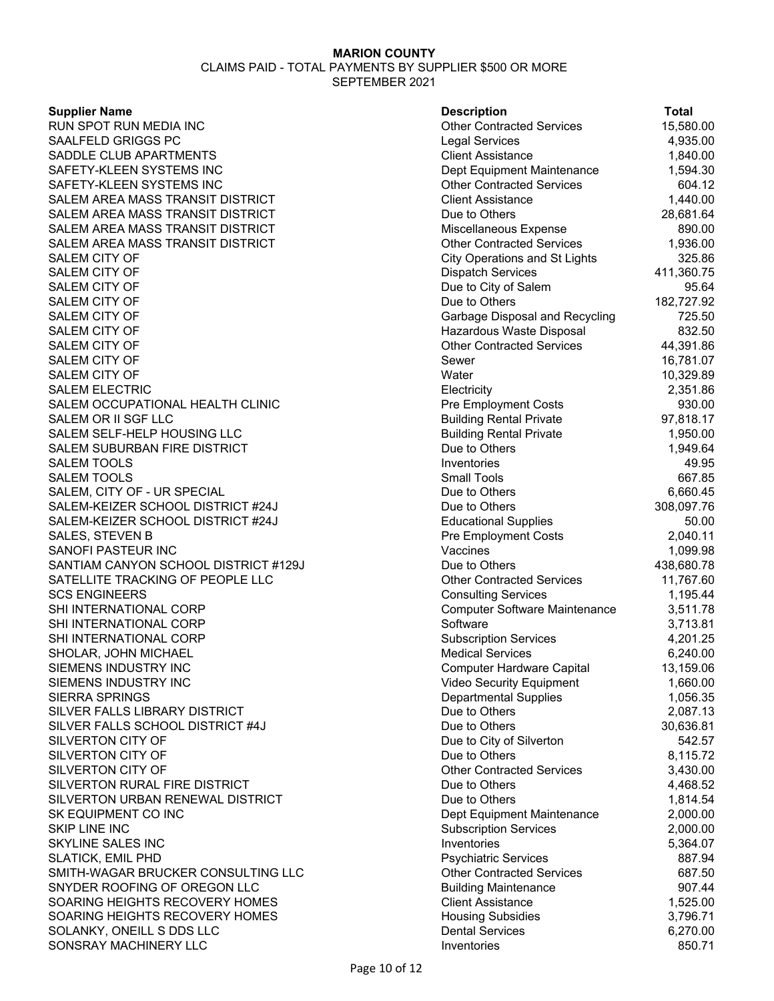CLAIMS PAID - TOTAL PAYMENTS BY SUPPLIER \$500 OR MORE SEPTEMBER 2021

#### **Supplier Name**

RUN SPOT RUN MEDIA INC SAALFELD GRIGGS PC SADDLE CLUB APARTMENTS SAFETY-KLEEN SYSTEMS INC SAFETY-KLEEN SYSTEMS INC SALEM AREA MASS TRANSIT DISTRICT SALEM AREA MASS TRANSIT DISTRICT SALEM AREA MASS TRANSIT DISTRICT SALEM AREA MASS TRANSIT DISTRICT SALEM CITY OF SALEM CITY OF SALEM CITY OF SALEM CITY OF SALEM CITY OF SALEM CITY OF SALEM CITY OF SALEM CITY OF SALEM CITY OF SALEM ELECTRIC SALEM OCCUPATIONAL HEALTH CLINIC SALEM OR II SGF LLC SALEM SELF-HELP HOUSING LLC SALEM SUBURBAN FIRE DISTRICT SALEM TOOLS SALEM TOOLS SALEM, CITY OF - UR SPECIAL SALEM-KEIZER SCHOOL DISTRICT #24J SALEM-KEIZER SCHOOL DISTRICT #24J SALES, STEVEN B SANOFI PASTEUR INC SANTIAM CANYON SCHOOL DISTRICT #129J SATELLITE TRACKING OF PEOPLE LLC **SCS ENGINEERS** SHI INTERNATIONAL CORP SHI INTERNATIONAL CORP SHI INTERNATIONAL CORP SHOLAR, JOHN MICHAEL SIEMENS INDUSTRY INC SIEMENS INDUSTRY INC SIERRA SPRINGS SILVER FALLS LIBRARY DISTRICT SILVER FALLS SCHOOL DISTRICT #4J SILVERTON CITY OF SILVERTON CITY OF SILVERTON CITY OF SILVERTON RURAL FIRE DISTRICT SILVERTON URBAN RENEWAL DISTRICT SK EQUIPMENT CO INC **SKIP LINE INC SKYLINE SALES INC** SLATICK, EMIL PHD SMITH-WAGAR BRUCKER CONSULTING LLC SNYDER ROOFING OF OREGON LLC SOARING HEIGHTS RECOVERY HOMES SOARING HEIGHTS RECOVERY HOMES SOLANKY, ONEILL S DDS LLC SONSRAY MACHINERY LLC

| <b>Description</b>                   | <b>Total</b> |
|--------------------------------------|--------------|
| <b>Other Contracted Services</b>     | 15,580.00    |
| Legal Services                       | 4,935.00     |
| <b>Client Assistance</b>             | 1,840.00     |
| Dept Equipment Maintenance           | 1,594.30     |
| <b>Other Contracted Services</b>     | 604.12       |
| Client Assistance                    | 1,440.00     |
| Due to Others                        | 28,681.64    |
| Miscellaneous Expense                | 890.00       |
| <b>Other Contracted Services</b>     | 1,936.00     |
| <b>City Operations and St Lights</b> | 325.86       |
| <b>Dispatch Services</b>             | 411,360.75   |
| Due to City of Salem                 | 95.64        |
| Due to Others                        | 182,727.92   |
| Garbage Disposal and Recycling       | 725.50       |
| Hazardous Waste Disposal             | 832.50       |
| <b>Other Contracted Services</b>     | 44,391.86    |
| Sewer                                | 16,781.07    |
| Water                                | 10,329.89    |
| Electricity                          | 2,351.86     |
| <b>Pre Employment Costs</b>          | 930.00       |
| <b>Building Rental Private</b>       | 97,818.17    |
| <b>Building Rental Private</b>       | 1,950.00     |
| Due to Others                        | 1,949.64     |
| Inventories                          | 49.95        |
| <b>Small Tools</b>                   | 667.85       |
| Due to Others                        | 6,660.45     |
| Due to Others                        | 308,097.76   |
| <b>Educational Supplies</b>          | 50.00        |
| <b>Pre Employment Costs</b>          | 2,040.11     |
| Vaccines                             | 1,099.98     |
| Due to Others                        | 438,680.78   |
| <b>Other Contracted Services</b>     | 11,767.60    |
| <b>Consulting Services</b>           | 1,195.44     |
| <b>Computer Software Maintenance</b> | 3,511.78     |
| Software                             | 3,713.81     |
| <b>Subscription Services</b>         | 4,201.25     |
| <b>Medical Services</b>              | 6,240.00     |
| Computer Hardware Capital            | 13,159.06    |
| <b>Video Security Equipment</b>      | 1,660.00     |
| <b>Departmental Supplies</b>         | 1,056.35     |
| Due to Others                        | 2,087.13     |
| Due to Others                        | 30,636.81    |
| Due to City of Silverton             | 542.57       |
| Due to Others                        | 8,115.72     |
| <b>Other Contracted Services</b>     | 3,430.00     |
| Due to Others                        | 4,468.52     |
| Due to Others                        | 1,814.54     |
| Dept Equipment Maintenance           | 2,000.00     |
| <b>Subscription Services</b>         | 2,000.00     |
| Inventories                          | 5,364.07     |
| <b>Psychiatric Services</b>          | 887.94       |
| <b>Other Contracted Services</b>     | 687.50       |
| <b>Building Maintenance</b>          | 907.44       |
| <b>Client Assistance</b>             | 1,525.00     |
| <b>Housing Subsidies</b>             | 3,796.71     |
| <b>Dental Services</b>               | 6,270.00     |
| Inventories                          | 850.71       |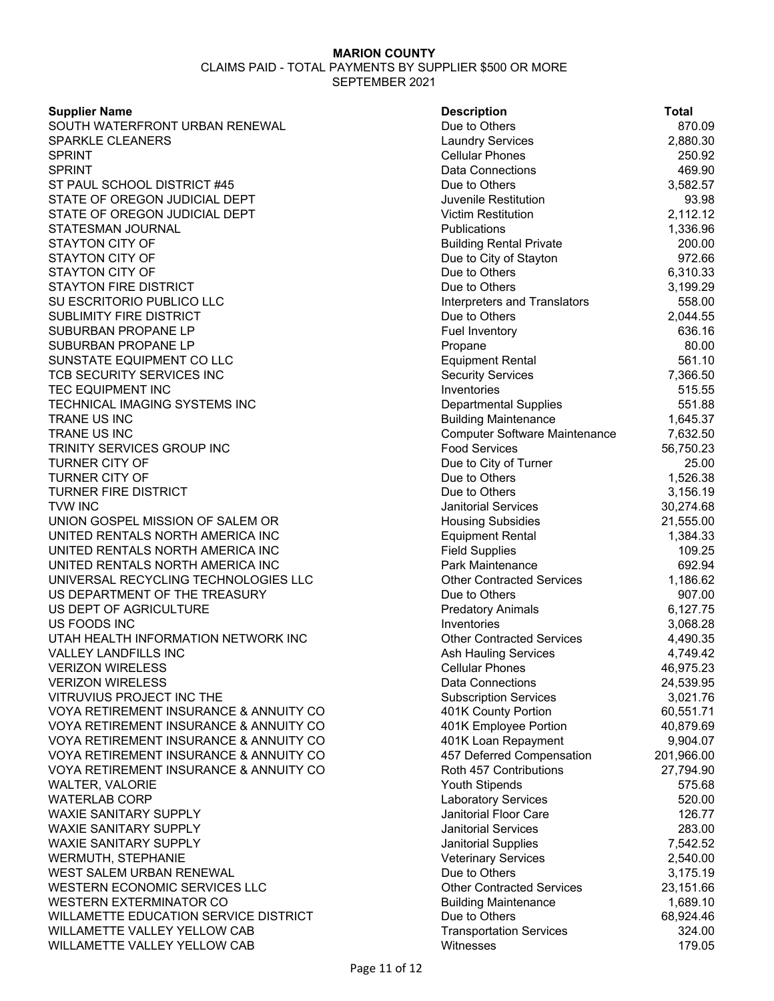| <b>Supplier Name</b>                   | <b>Description</b>                   | <b>Total</b> |
|----------------------------------------|--------------------------------------|--------------|
| SOUTH WATERFRONT URBAN RENEWAL         | Due to Others                        | 870.09       |
| <b>SPARKLE CLEANERS</b>                | <b>Laundry Services</b>              | 2,880.30     |
| <b>SPRINT</b>                          | <b>Cellular Phones</b>               | 250.92       |
| <b>SPRINT</b>                          | Data Connections                     | 469.90       |
| ST PAUL SCHOOL DISTRICT #45            | Due to Others                        | 3,582.57     |
| STATE OF OREGON JUDICIAL DEPT          | Juvenile Restitution                 | 93.98        |
| STATE OF OREGON JUDICIAL DEPT          | <b>Victim Restitution</b>            | 2,112.12     |
| STATESMAN JOURNAL                      | Publications                         | 1,336.96     |
| <b>STAYTON CITY OF</b>                 | <b>Building Rental Private</b>       | 200.00       |
| STAYTON CITY OF                        | Due to City of Stayton               | 972.66       |
| <b>STAYTON CITY OF</b>                 | Due to Others                        | 6,310.33     |
| <b>STAYTON FIRE DISTRICT</b>           | Due to Others                        | 3,199.29     |
| SU ESCRITORIO PUBLICO LLC              | Interpreters and Translators         | 558.00       |
| <b>SUBLIMITY FIRE DISTRICT</b>         | Due to Others                        | 2,044.55     |
| SUBURBAN PROPANE LP                    | <b>Fuel Inventory</b>                | 636.16       |
| SUBURBAN PROPANE LP                    | Propane                              | 80.00        |
| SUNSTATE EQUIPMENT CO LLC              | <b>Equipment Rental</b>              | 561.10       |
| TCB SECURITY SERVICES INC              | <b>Security Services</b>             | 7,366.50     |
| <b>TEC EQUIPMENT INC</b>               | Inventories                          | 515.55       |
| TECHNICAL IMAGING SYSTEMS INC          | <b>Departmental Supplies</b>         | 551.88       |
| TRANE US INC                           | <b>Building Maintenance</b>          | 1,645.37     |
| TRANE US INC                           | <b>Computer Software Maintenance</b> | 7,632.50     |
| TRINITY SERVICES GROUP INC             | <b>Food Services</b>                 | 56,750.23    |
| <b>TURNER CITY OF</b>                  | Due to City of Turner                | 25.00        |
| <b>TURNER CITY OF</b>                  | Due to Others                        | 1,526.38     |
| <b>TURNER FIRE DISTRICT</b>            | Due to Others                        | 3,156.19     |
| <b>TVW INC</b>                         | <b>Janitorial Services</b>           | 30,274.68    |
| UNION GOSPEL MISSION OF SALEM OR       | <b>Housing Subsidies</b>             | 21,555.00    |
| UNITED RENTALS NORTH AMERICA INC       | <b>Equipment Rental</b>              | 1,384.33     |
| UNITED RENTALS NORTH AMERICA INC       | <b>Field Supplies</b>                | 109.25       |
| UNITED RENTALS NORTH AMERICA INC       | Park Maintenance                     | 692.94       |
| UNIVERSAL RECYCLING TECHNOLOGIES LLC   | <b>Other Contracted Services</b>     | 1,186.62     |
| US DEPARTMENT OF THE TREASURY          | Due to Others                        | 907.00       |
| US DEPT OF AGRICULTURE                 | <b>Predatory Animals</b>             | 6,127.75     |
| US FOODS INC                           | Inventories                          | 3,068.28     |
| UTAH HEALTH INFORMATION NETWORK INC    | <b>Other Contracted Services</b>     | 4,490.35     |
| <b>VALLEY LANDFILLS INC</b>            | <b>Ash Hauling Services</b>          | 4,749.42     |
| <b>VERIZON WIRELESS</b>                | <b>Cellular Phones</b>               | 46,975.23    |
| <b>VERIZON WIRELESS</b>                | <b>Data Connections</b>              | 24,539.95    |
| VITRUVIUS PROJECT INC THE              | <b>Subscription Services</b>         | 3,021.76     |
| VOYA RETIREMENT INSURANCE & ANNUITY CO | 401K County Portion                  | 60,551.71    |
| VOYA RETIREMENT INSURANCE & ANNUITY CO | 401K Employee Portion                | 40,879.69    |
| VOYA RETIREMENT INSURANCE & ANNUITY CO | 401K Loan Repayment                  | 9,904.07     |
| VOYA RETIREMENT INSURANCE & ANNUITY CO | 457 Deferred Compensation            | 201,966.00   |
| VOYA RETIREMENT INSURANCE & ANNUITY CO | Roth 457 Contributions               | 27,794.90    |
| WALTER, VALORIE                        | Youth Stipends                       | 575.68       |
| <b>WATERLAB CORP</b>                   | <b>Laboratory Services</b>           | 520.00       |
| <b>WAXIE SANITARY SUPPLY</b>           | Janitorial Floor Care                | 126.77       |
| WAXIE SANITARY SUPPLY                  | <b>Janitorial Services</b>           | 283.00       |
| <b>WAXIE SANITARY SUPPLY</b>           | Janitorial Supplies                  | 7,542.52     |
| <b>WERMUTH, STEPHANIE</b>              | <b>Veterinary Services</b>           | 2,540.00     |
| WEST SALEM URBAN RENEWAL               | Due to Others                        | 3,175.19     |
| WESTERN ECONOMIC SERVICES LLC          | <b>Other Contracted Services</b>     | 23,151.66    |
| WESTERN EXTERMINATOR CO                | <b>Building Maintenance</b>          | 1,689.10     |
| WILLAMETTE EDUCATION SERVICE DISTRICT  | Due to Others                        | 68,924.46    |
| WILLAMETTE VALLEY YELLOW CAB           | <b>Transportation Services</b>       | 324.00       |
| WILLAMETTE VALLEY YELLOW CAB           | Witnesses                            | 179.05       |